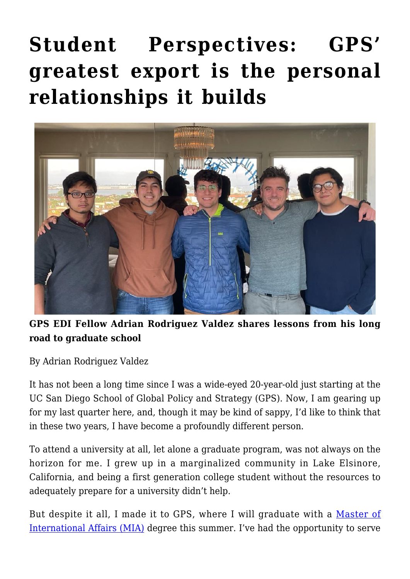## **[Student Perspectives: GPS'](https://gpsnews.ucsd.edu/student-perspectives-gps-greatest-export-is-the-personal-relationships-it-builds/) [greatest export is the personal](https://gpsnews.ucsd.edu/student-perspectives-gps-greatest-export-is-the-personal-relationships-it-builds/) [relationships it builds](https://gpsnews.ucsd.edu/student-perspectives-gps-greatest-export-is-the-personal-relationships-it-builds/)**



## **GPS EDI Fellow Adrian Rodriguez Valdez shares lessons from his long road to graduate school**

By Adrian Rodriguez Valdez

It has not been a long time since I was a wide-eyed 20-year-old just starting at the UC San Diego School of Global Policy and Strategy (GPS). Now, I am gearing up for my last quarter here, and, though it may be kind of sappy, I'd like to think that in these two years, I have become a profoundly different person.

To attend a university at all, let alone a graduate program, was not always on the horizon for me. I grew up in a marginalized community in Lake Elsinore, California, and being a first generation college student without the resources to adequately prepare for a university didn't help.

But despite it all, I made it to GPS, where I will graduate with a [Master of](https://gps.ucsd.edu/academics/mia.html) [International Affairs \(MIA\)](https://gps.ucsd.edu/academics/mia.html) degree this summer. I've had the opportunity to serve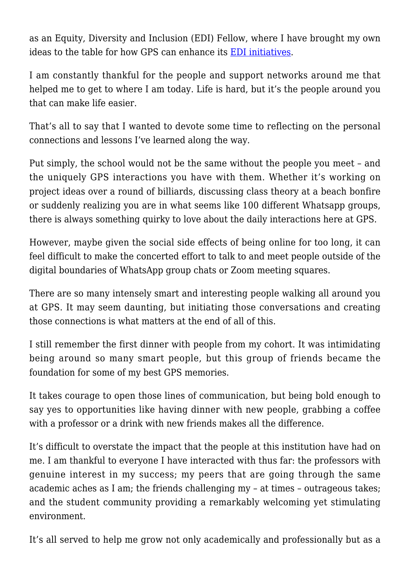as an Equity, Diversity and Inclusion (EDI) Fellow, where I have brought my own ideas to the table for how GPS can enhance its [EDI initiatives](https://gps.ucsd.edu/about/diversity.html).

I am constantly thankful for the people and support networks around me that helped me to get to where I am today. Life is hard, but it's the people around you that can make life easier.

That's all to say that I wanted to devote some time to reflecting on the personal connections and lessons I've learned along the way.

Put simply, the school would not be the same without the people you meet – and the uniquely GPS interactions you have with them. Whether it's working on project ideas over a round of billiards, discussing class theory at a beach bonfire or suddenly realizing you are in what seems like 100 different Whatsapp groups, there is always something quirky to love about the daily interactions here at GPS.

However, maybe given the social side effects of being online for too long, it can feel difficult to make the concerted effort to talk to and meet people outside of the digital boundaries of WhatsApp group chats or Zoom meeting squares.

There are so many intensely smart and interesting people walking all around you at GPS. It may seem daunting, but initiating those conversations and creating those connections is what matters at the end of all of this.

I still remember the first dinner with people from my cohort. It was intimidating being around so many smart people, but this group of friends became the foundation for some of my best GPS memories.

It takes courage to open those lines of communication, but being bold enough to say yes to opportunities like having dinner with new people, grabbing a coffee with a professor or a drink with new friends makes all the difference.

It's difficult to overstate the impact that the people at this institution have had on me. I am thankful to everyone I have interacted with thus far: the professors with genuine interest in my success; my peers that are going through the same academic aches as I am; the friends challenging my – at times – outrageous takes; and the student community providing a remarkably welcoming yet stimulating environment.

It's all served to help me grow not only academically and professionally but as a